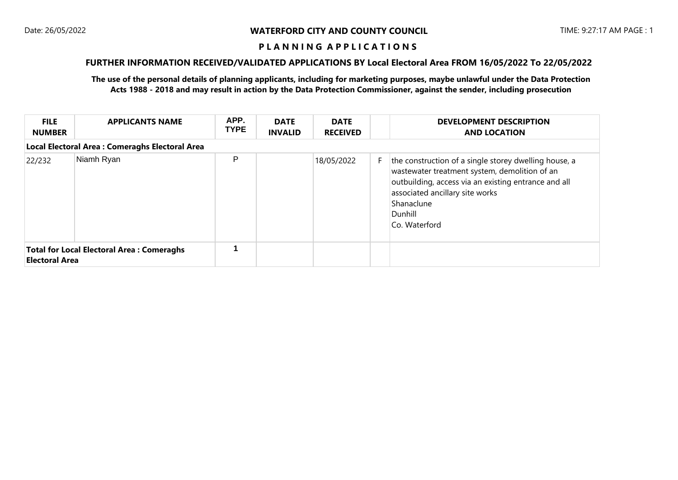## **FURTHER INFORMATION RECEIVED/VALIDATED APPLICATIONS BY Local Electoral Area FROM 16/05/2022 To 22/05/2022**

| <b>FILE</b><br><b>NUMBER</b>                                              | <b>APPLICANTS NAME</b>                          | APP.<br><b>TYPE</b> | <b>DATE</b><br><b>INVALID</b> | <b>DATE</b><br><b>RECEIVED</b> |    | <b>DEVELOPMENT DESCRIPTION</b><br><b>AND LOCATION</b>                                                                                                                                                                                       |
|---------------------------------------------------------------------------|-------------------------------------------------|---------------------|-------------------------------|--------------------------------|----|---------------------------------------------------------------------------------------------------------------------------------------------------------------------------------------------------------------------------------------------|
|                                                                           | Local Electoral Area : Comeraghs Electoral Area |                     |                               |                                |    |                                                                                                                                                                                                                                             |
| 22/232                                                                    | Niamh Ryan                                      | P                   |                               | 18/05/2022                     | F. | the construction of a single storey dwelling house, a<br>wastewater treatment system, demolition of an<br>outbuilding, access via an existing entrance and all<br>associated ancillary site works<br>Shanaclune<br>Dunhill<br>Co. Waterford |
| <b>Total for Local Electoral Area: Comeraghs</b><br><b>Electoral Area</b> |                                                 |                     |                               |                                |    |                                                                                                                                                                                                                                             |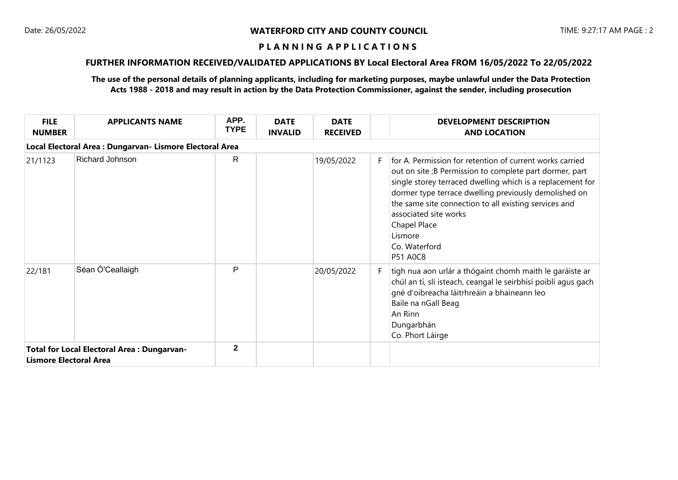# **FURTHER INFORMATION RECEIVED/VALIDATED APPLICATIONS BY Local Electoral Area FROM 16/05/2022 To 22/05/2022**

| <b>FILE</b><br><b>NUMBER</b>  | <b>APPLICANTS NAME</b>                                   | APP.<br><b>TYPE</b> | <b>DATE</b><br><b>INVALID</b> | <b>DATE</b><br><b>RECEIVED</b> |    | <b>DEVELOPMENT DESCRIPTION</b><br><b>AND LOCATION</b>                                                                                                                                                                                                                                                                                                                                       |
|-------------------------------|----------------------------------------------------------|---------------------|-------------------------------|--------------------------------|----|---------------------------------------------------------------------------------------------------------------------------------------------------------------------------------------------------------------------------------------------------------------------------------------------------------------------------------------------------------------------------------------------|
|                               | Local Electoral Area : Dungarvan- Lismore Electoral Area |                     |                               |                                |    |                                                                                                                                                                                                                                                                                                                                                                                             |
| 21/1123                       | Richard Johnson                                          | R.                  |                               | 19/05/2022                     | F. | for A. Permission for retention of current works carried<br>out on site ;B Permission to complete part dormer, part<br>single storey terraced dwelling which is a replacement for<br>dormer type terrace dwelling previously demolished on<br>the same site connection to all existing services and<br>associated site works<br>Chapel Place<br>Lismore<br>Co. Waterford<br><b>P51 A0C8</b> |
| 22/181                        | Séan Ó'Ceallaigh                                         | P                   |                               | 20/05/2022                     | F. | tigh nua aon urlár a thógaint chomh maith le garáiste ar<br>chúl an tí, slí isteach, ceangal le seirbhísí poiblí agus gach<br>gné d'oibreacha láitrhreáin a bhaineann leo<br>Baile na nGall Beag<br>An Rinn<br>Dungarbhán<br>Co. Phort Láirge                                                                                                                                               |
| <b>Lismore Electoral Area</b> | <b>Total for Local Electoral Area: Dungarvan-</b>        | $\mathbf{2}$        |                               |                                |    |                                                                                                                                                                                                                                                                                                                                                                                             |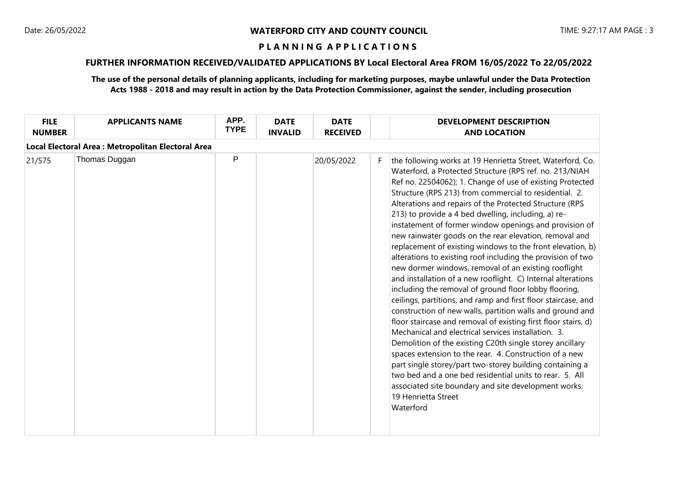# **FURTHER INFORMATION RECEIVED/VALIDATED APPLICATIONS BY Local Electoral Area FROM 16/05/2022 To 22/05/2022**

| Local Electoral Area : Metropolitan Electoral Area<br>P<br>Thomas Duggan<br>20/05/2022<br>21/575<br>F.<br>213) to provide a 4 bed dwelling, including, a) re- | <b>FILE</b><br><b>NUMBER</b> | <b>APPLICANTS NAME</b> | APP.<br><b>TYPE</b> | <b>DATE</b><br><b>INVALID</b> | <b>DATE</b><br><b>RECEIVED</b> | <b>DEVELOPMENT DESCRIPTION</b><br><b>AND LOCATION</b>                                                                                                                                                                                                                                                                                                                                                                                                                                                                                                                                                                                                                                                                                                                                                                                                                                                                                                                                                                                                                                                                                                                                                                                          |
|---------------------------------------------------------------------------------------------------------------------------------------------------------------|------------------------------|------------------------|---------------------|-------------------------------|--------------------------------|------------------------------------------------------------------------------------------------------------------------------------------------------------------------------------------------------------------------------------------------------------------------------------------------------------------------------------------------------------------------------------------------------------------------------------------------------------------------------------------------------------------------------------------------------------------------------------------------------------------------------------------------------------------------------------------------------------------------------------------------------------------------------------------------------------------------------------------------------------------------------------------------------------------------------------------------------------------------------------------------------------------------------------------------------------------------------------------------------------------------------------------------------------------------------------------------------------------------------------------------|
|                                                                                                                                                               |                              |                        |                     |                               |                                |                                                                                                                                                                                                                                                                                                                                                                                                                                                                                                                                                                                                                                                                                                                                                                                                                                                                                                                                                                                                                                                                                                                                                                                                                                                |
| Mechanical and electrical services installation. 3.<br>19 Henrietta Street<br>Waterford                                                                       |                              |                        |                     |                               |                                | the following works at 19 Henrietta Street, Waterford, Co.<br>Waterford, a Protected Structure (RPS ref. no. 213/NIAH<br>Ref no. 22504062); 1. Change of use of existing Protected<br>Structure (RPS 213) from commercial to residential. 2.<br>Alterations and repairs of the Protected Structure (RPS<br>instatement of former window openings and provision of<br>new rainwater goods on the rear elevation, removal and<br>replacement of existing windows to the front elevation, b)<br>alterations to existing roof including the provision of two<br>new dormer windows, removal of an existing rooflight<br>and installation of a new rooflight. C) Internal alterations<br>including the removal of ground floor lobby flooring,<br>ceilings, partitions, and ramp and first floor staircase, and<br>construction of new walls, partition walls and ground and<br>floor staircase and removal of existing first floor stairs, d)<br>Demolition of the existing C20th single storey ancillary<br>spaces extension to the rear. 4. Construction of a new<br>part single storey/part two-storey building containing a<br>two bed and a one bed residential units to rear. 5. All<br>associated site boundary and site development works. |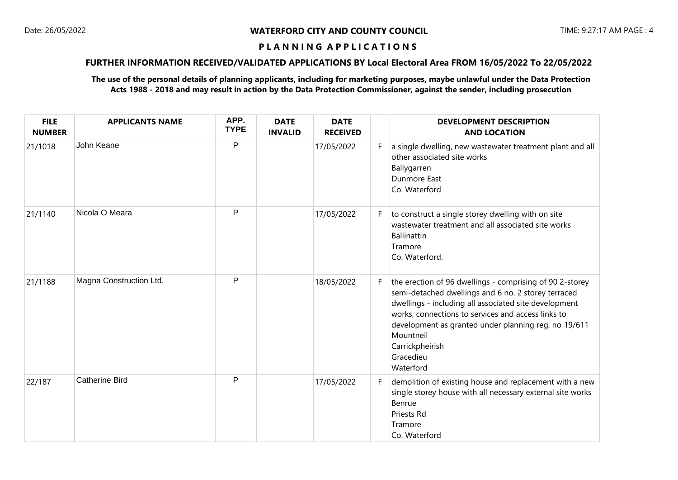# **FURTHER INFORMATION RECEIVED/VALIDATED APPLICATIONS BY Local Electoral Area FROM 16/05/2022 To 22/05/2022**

| <b>FILE</b><br><b>NUMBER</b> | <b>APPLICANTS NAME</b>  | APP.<br><b>TYPE</b> | <b>DATE</b><br><b>INVALID</b> | <b>DATE</b><br><b>RECEIVED</b> |    | <b>DEVELOPMENT DESCRIPTION</b><br><b>AND LOCATION</b>                                                                                                                                                                                                                                                                                            |
|------------------------------|-------------------------|---------------------|-------------------------------|--------------------------------|----|--------------------------------------------------------------------------------------------------------------------------------------------------------------------------------------------------------------------------------------------------------------------------------------------------------------------------------------------------|
| 21/1018                      | John Keane              | P                   |                               | 17/05/2022                     | F. | a single dwelling, new wastewater treatment plant and all<br>other associated site works<br>Ballygarren<br><b>Dunmore East</b><br>Co. Waterford                                                                                                                                                                                                  |
| 21/1140                      | Nicola O Meara          | P                   |                               | 17/05/2022                     | F. | to construct a single storey dwelling with on site<br>wastewater treatment and all associated site works<br>Ballinattin<br>Tramore<br>Co. Waterford.                                                                                                                                                                                             |
| 21/1188                      | Magna Construction Ltd. | P                   |                               | 18/05/2022                     | F. | the erection of 96 dwellings - comprising of 90 2-storey<br>semi-detached dwellings and 6 no. 2 storey terraced<br>dwellings - including all associated site development<br>works, connections to services and access links to<br>development as granted under planning reg. no 19/611<br>Mountneil<br>Carrickpheirish<br>Gracedieu<br>Waterford |
| 22/187                       | <b>Catherine Bird</b>   | P                   |                               | 17/05/2022                     | F. | demolition of existing house and replacement with a new<br>single storey house with all necessary external site works<br>Benrue<br><b>Priests Rd</b><br>Tramore<br>Co. Waterford                                                                                                                                                                 |